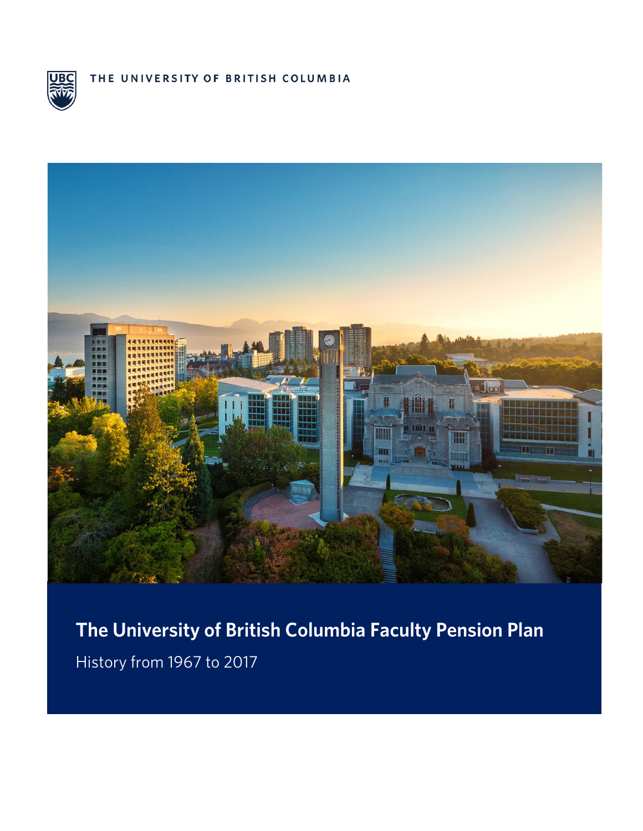

THE UNIVERSITY OF BRITISH COLUMBIA



**The University of British Columbia Faculty Pension Plan**  History from 1967 to 2017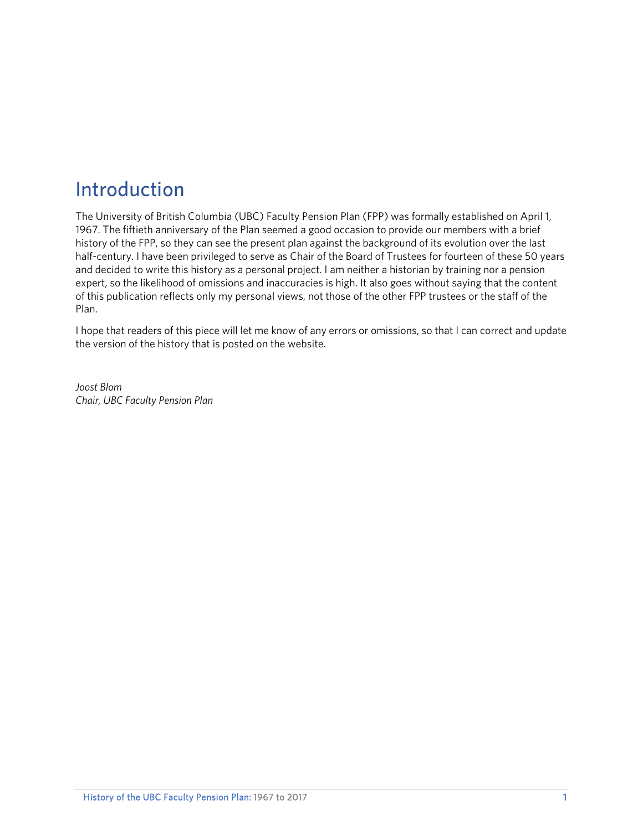## Introduction

The University of British Columbia (UBC) Faculty Pension Plan (FPP) was formally established on April 1, 1967. The fiftieth anniversary of the Plan seemed a good occasion to provide our members with a brief history of the FPP, so they can see the present plan against the background of its evolution over the last half-century. I have been privileged to serve as Chair of the Board of Trustees for fourteen of these 50 years and decided to write this history as a personal project. I am neither a historian by training nor a pension expert, so the likelihood of omissions and inaccuracies is high. It also goes without saying that the content of this publication reflects only my personal views, not those of the other FPP trustees or the staff of the Plan.

I hope that readers of this piece will let me know of any errors or omissions, so that I can correct and update the version of the history that is posted on the website.

*Joost Blom Chair, UBC Faculty Pension Plan*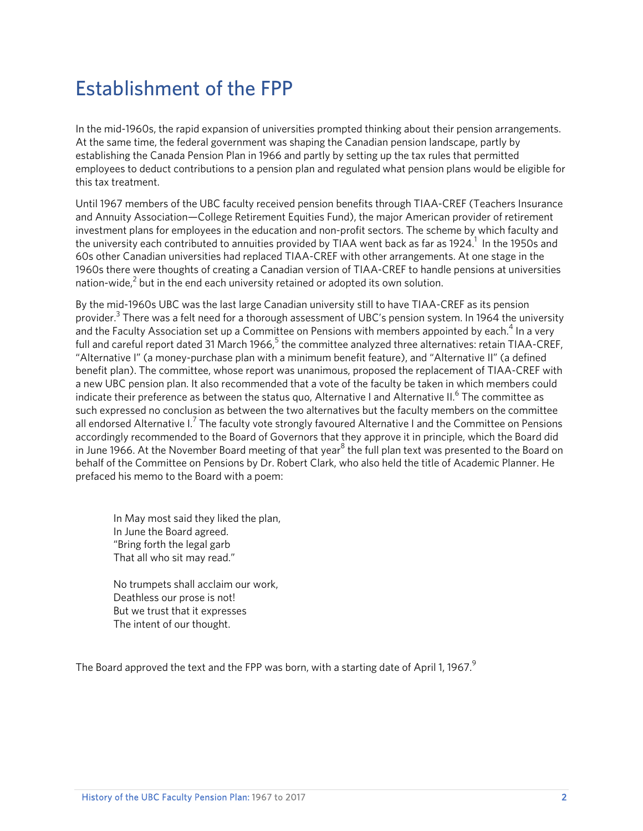## Establishment of the FPP

In the mid-1960s, the rapid expansion of universities prompted thinking about their pension arrangements. At the same time, the federal government was shaping the Canadian pension landscape, partly by establishing the Canada Pension Plan in 1966 and partly by setting up the tax rules that permitted employees to deduct contributions to a pension plan and regulated what pension plans would be eligible for this tax treatment.

Until 1967 members of the UBC faculty received pension benefits through TIAA-CREF (Teachers Insurance and Annuity Association—College Retirement Equities Fund), the major American provider of retirement investment plans for employees in the education and non-profit sectors. The scheme by which faculty and the university each contributed to annuities provided by TIAA went back as far as 1924. $^{\rm 1}$  In the 1950s and 60s other Canadian universities had replaced TIAA-CREF with other arrangements. At one stage in the 1960s there were thoughts of creating a Canadian version of TIAA-CREF to handle pensions at universities nation-wide, $^2$  but in the end each university retained or adopted its own solution.

By the mid-1960s UBC was the last large Canadian university still to have TIAA-CREF as its pension provider.<sup>3</sup> There was a felt need for a thorough assessment of UBC's pension system. In 1964 the university and the Faculty Association set up a Committee on Pensions with members appointed by each. $^4$  In a very full and careful report dated 31 March 1966, $^5$  the committee analyzed three alternatives: retain TIAA-CREF, "Alternative I" (a money-purchase plan with a minimum benefit feature), and "Alternative II" (a defined benefit plan). The committee, whose report was unanimous, proposed the replacement of TIAA-CREF with a new UBC pension plan. It also recommended that a vote of the faculty be taken in which members could indicate their preference as between the status quo, Alternative I and Alternative II.<sup>6</sup> The committee as such expressed no conclusion as between the two alternatives but the faculty members on the committee all endorsed Alternative I.<sup>7</sup> The faculty vote strongly favoured Alternative I and the Committee on Pensions accordingly recommended to the Board of Governors that they approve it in principle, which the Board did in June 1966. At the November Board meeting of that year<sup>8</sup> the full plan text was presented to the Board on behalf of the Committee on Pensions by Dr. Robert Clark, who also held the title of Academic Planner. He prefaced his memo to the Board with a poem:

In May most said they liked the plan, In June the Board agreed. "Bring forth the legal garb That all who sit may read."

No trumpets shall acclaim our work, Deathless our prose is not! But we trust that it expresses The intent of our thought.

The Board approved the text and the FPP was born, with a starting date of April 1, 1967. $9$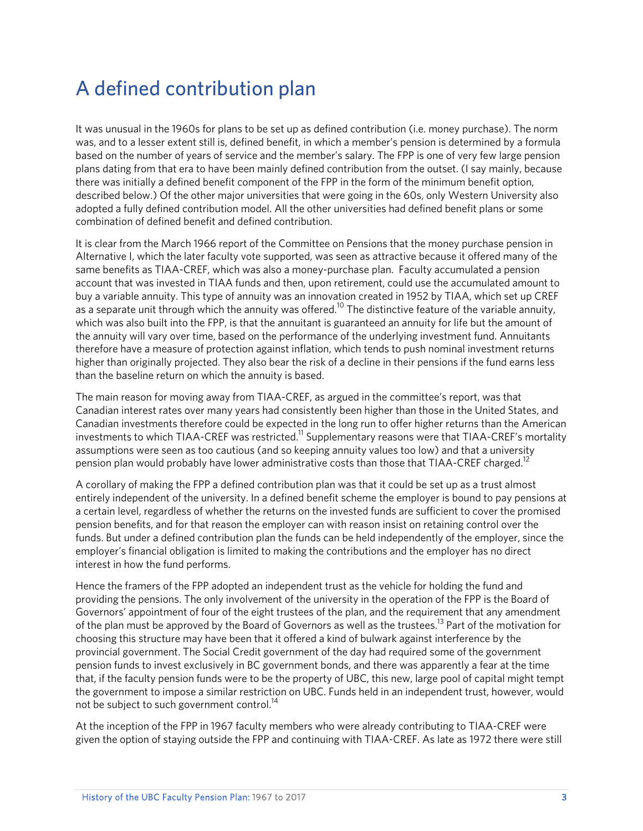## A defined contribution plan

It was unusual in the 1960s for plans to be set up as defined contribution (i.e. money purchase). The norm was, and to a lesser extent still is, defined benefit, in which a member's pension is determined by a formula based on the number of years of service and the member's salary. The FPP is one of very few large pension plans dating from that era to have been mainly defined contribution from the outset. (I say mainly, because there was initially a defined benefit component of the FPP in the form of the minimum benefit option, described below.) Of the other major universities that were going in the 60s, only Western University also adopted a fully defined contribution model. All the other universities had defined benefit plans or some combination of defined benefit and defined contribution.

It is clear from the March 1966 report of the Committee on Pensions that the money purchase pension in Alternative I, which the later faculty vote supported, was seen as attractive because it offered many of the same benefits as TIAA-CREF, which was also a money-purchase plan. Faculty accumulated a pension account that was invested in TIAA funds and then, upon retirement, could use the accumulated amount to buy a variable annuity. This type of annuity was an innovation created in 1952 by TIAA, which set up CREF as a separate unit through which the annuity was offered.<sup>10</sup> The distinctive feature of the variable annuity, which was also built into the FPP, is that the annuitant is guaranteed an annuity for life but the amount of the annuity will vary over time, based on the performance of the underlying investment fund. Annuitants therefore have a measure of protection against inflation, which tends to push nominal investment returns higher than originally projected. They also bear the risk of a decline in their pensions if the fund earns less than the baseline return on which the annuity is based.

The main reason for moving away from TIAA-CREF, as argued in the committee's report, was that Canadian interest rates over many years had consistently been higher than those in the United States, and Canadian investments therefore could be expected in the long run to offer higher returns than the American investments to which TIAA-CREF was restricted.<sup>11</sup> Supplementary reasons were that TIAA-CREF's mortality assumptions were seen as too cautious (and so keeping annuity values too low) and that a university pension plan would probably have lower administrative costs than those that TIAA-CREF charged.<sup>12</sup>

A corollary of making the FPP a defined contribution plan was that it could be set up as a trust almost entirely independent of the university. In a defined benefit scheme the employer is bound to pay pensions at a certain level, regardless of whether the returns on the invested funds are sufficient to cover the promised pension benefits, and for that reason the employer can with reason insist on retaining control over the funds. But under a defined contribution plan the funds can be held independently of the employer, since the employer's financial obligation is limited to making the contributions and the employer has no direct interest in how the fund performs.

Hence the framers of the FPP adopted an independent trust as the vehicle for holding the fund and providing the pensions. The only involvement of the university in the operation of the FPP is the Board of Governors' appointment of four of the eight trustees of the plan, and the requirement that any amendment of the plan must be approved by the Board of Governors as well as the trustees.<sup>13</sup> Part of the motivation for choosing this structure may have been that it offered a kind of bulwark against interference by the provincial government. The Social Credit government of the day had required some of the government pension funds to invest exclusively in BC government bonds, and there was apparently a fear at the time that, if the faculty pension funds were to be the property of UBC, this new, large pool of capital might tempt the government to impose a similar restriction on UBC. Funds held in an independent trust, however, would not be subject to such government control.<sup>14</sup>

At the inception of the FPP in 1967 faculty members who were already contributing to TIAA-CREF were given the option of staying outside the FPP and continuing with TIAA-CREF. As late as 1972 there were still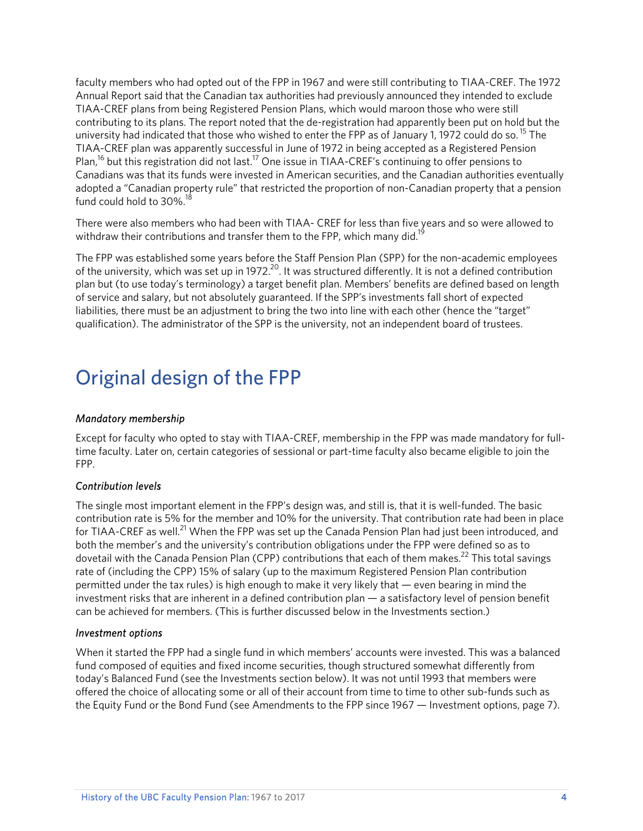faculty members who had opted out of the FPP in 1967 and were still contributing to TIAA-CREF. The 1972 Annual Report said that the Canadian tax authorities had previously announced they intended to exclude TIAA-CREF plans from being Registered Pension Plans, which would maroon those who were still contributing to its plans. The report noted that the de-registration had apparently been put on hold but the university had indicated that those who wished to enter the FPP as of January 1, 1972 could do so.<sup>15</sup> The TIAA-CREF plan was apparently successful in June of 1972 in being accepted as a Registered Pension Plan,<sup>16</sup> but this registration did not last.<sup>17</sup> One issue in TIAA-CREF's continuing to offer pensions to Canadians was that its funds were invested in American securities, and the Canadian authorities eventually adopted a "Canadian property rule" that restricted the proportion of non-Canadian property that a pension fund could hold to 30%.<sup>18</sup>

There were also members who had been with TIAA- CREF for less than five years and so were allowed to withdraw their contributions and transfer them to the FPP, which many did.<sup>19</sup>

The FPP was established some years before the Staff Pension Plan (SPP) for the non-academic employees of the university, which was set up in 1972.<sup>20</sup>. It was structured differently. It is not a defined contribution plan but (to use today's terminology) a target benefit plan. Members' benefits are defined based on length of service and salary, but not absolutely guaranteed. If the SPP's investments fall short of expected liabilities, there must be an adjustment to bring the two into line with each other (hence the "target" qualification). The administrator of the SPP is the university, not an independent board of trustees.

## Original design of the FPP

#### *Mandatory membership*

Except for faculty who opted to stay with TIAA-CREF, membership in the FPP was made mandatory for fulltime faculty. Later on, certain categories of sessional or part-time faculty also became eligible to join the FPP.

#### *Contribution levels*

The single most important element in the FPP's design was, and still is, that it is well-funded. The basic contribution rate is 5% for the member and 10% for the university. That contribution rate had been in place for TIAA-CREF as well.<sup>21</sup> When the FPP was set up the Canada Pension Plan had just been introduced, and both the member's and the university's contribution obligations under the FPP were defined so as to dovetail with the Canada Pension Plan (CPP) contributions that each of them makes.<sup>22</sup> This total savings rate of (including the CPP) 15% of salary (up to the maximum Registered Pension Plan contribution permitted under the tax rules) is high enough to make it very likely that — even bearing in mind the investment risks that are inherent in a defined contribution plan — a satisfactory level of pension benefit can be achieved for members. (This is further discussed below in the Investments section.)

#### *Investment options*

When it started the FPP had a single fund in which members' accounts were invested. This was a balanced fund composed of equities and fixed income securities, though structured somewhat differently from today's Balanced Fund (see the Investments section below). It was not until 1993 that members were offered the choice of allocating some or all of their account from time to time to other sub-funds such as the Equity Fund or the Bond Fund (see Amendments to the FPP since 1967 — Investment options, page 7).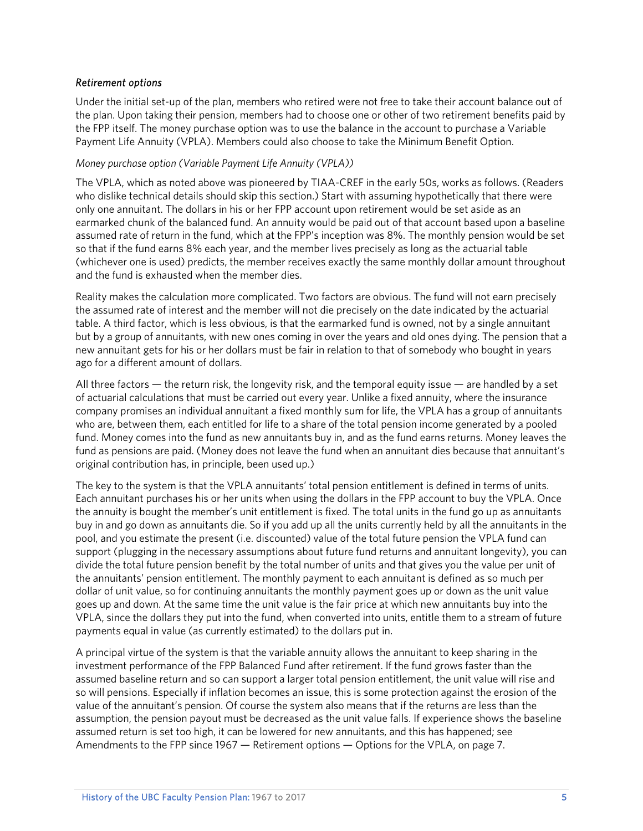#### *Retirement options*

Under the initial set-up of the plan, members who retired were not free to take their account balance out of the plan. Upon taking their pension, members had to choose one or other of two retirement benefits paid by the FPP itself. The money purchase option was to use the balance in the account to purchase a Variable Payment Life Annuity (VPLA). Members could also choose to take the Minimum Benefit Option.

#### *Money purchase option (Variable Payment Life Annuity (VPLA))*

The VPLA, which as noted above was pioneered by TIAA-CREF in the early 50s, works as follows. (Readers who dislike technical details should skip this section.) Start with assuming hypothetically that there were only one annuitant. The dollars in his or her FPP account upon retirement would be set aside as an earmarked chunk of the balanced fund. An annuity would be paid out of that account based upon a baseline assumed rate of return in the fund, which at the FPP's inception was 8%. The monthly pension would be set so that if the fund earns 8% each year, and the member lives precisely as long as the actuarial table (whichever one is used) predicts, the member receives exactly the same monthly dollar amount throughout and the fund is exhausted when the member dies.

Reality makes the calculation more complicated. Two factors are obvious. The fund will not earn precisely the assumed rate of interest and the member will not die precisely on the date indicated by the actuarial table. A third factor, which is less obvious, is that the earmarked fund is owned, not by a single annuitant but by a group of annuitants, with new ones coming in over the years and old ones dying. The pension that a new annuitant gets for his or her dollars must be fair in relation to that of somebody who bought in years ago for a different amount of dollars.

All three factors — the return risk, the longevity risk, and the temporal equity issue — are handled by a set of actuarial calculations that must be carried out every year. Unlike a fixed annuity, where the insurance company promises an individual annuitant a fixed monthly sum for life, the VPLA has a group of annuitants who are, between them, each entitled for life to a share of the total pension income generated by a pooled fund. Money comes into the fund as new annuitants buy in, and as the fund earns returns. Money leaves the fund as pensions are paid. (Money does not leave the fund when an annuitant dies because that annuitant's original contribution has, in principle, been used up.)

The key to the system is that the VPLA annuitants' total pension entitlement is defined in terms of units. Each annuitant purchases his or her units when using the dollars in the FPP account to buy the VPLA. Once the annuity is bought the member's unit entitlement is fixed. The total units in the fund go up as annuitants buy in and go down as annuitants die. So if you add up all the units currently held by all the annuitants in the pool, and you estimate the present (i.e. discounted) value of the total future pension the VPLA fund can support (plugging in the necessary assumptions about future fund returns and annuitant longevity), you can divide the total future pension benefit by the total number of units and that gives you the value per unit of the annuitants' pension entitlement. The monthly payment to each annuitant is defined as so much per dollar of unit value, so for continuing annuitants the monthly payment goes up or down as the unit value goes up and down. At the same time the unit value is the fair price at which new annuitants buy into the VPLA, since the dollars they put into the fund, when converted into units, entitle them to a stream of future payments equal in value (as currently estimated) to the dollars put in.

A principal virtue of the system is that the variable annuity allows the annuitant to keep sharing in the investment performance of the FPP Balanced Fund after retirement. If the fund grows faster than the assumed baseline return and so can support a larger total pension entitlement, the unit value will rise and so will pensions. Especially if inflation becomes an issue, this is some protection against the erosion of the value of the annuitant's pension. Of course the system also means that if the returns are less than the assumption, the pension payout must be decreased as the unit value falls. If experience shows the baseline assumed return is set too high, it can be lowered for new annuitants, and this has happened; see Amendments to the FPP since 1967 — Retirement options — Options for the VPLA, on page 7.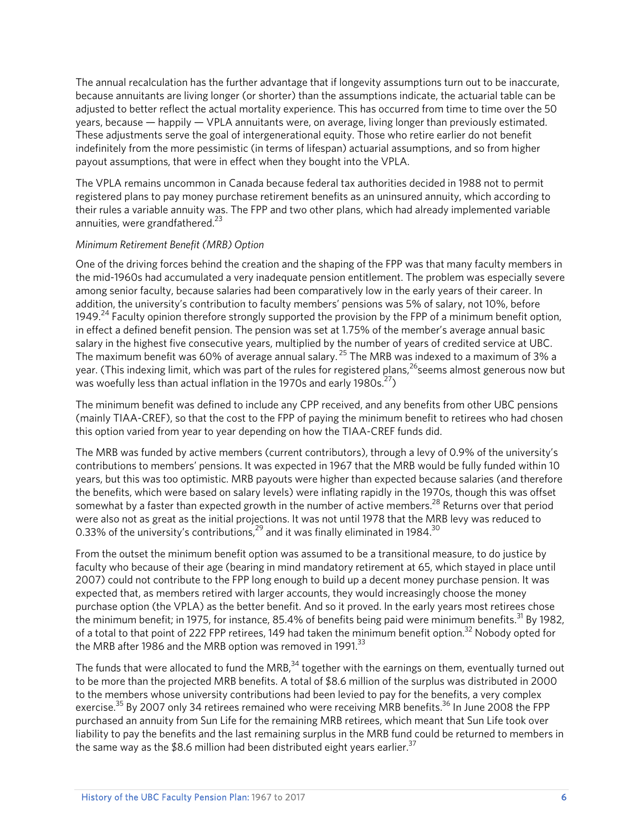The annual recalculation has the further advantage that if longevity assumptions turn out to be inaccurate, because annuitants are living longer (or shorter) than the assumptions indicate, the actuarial table can be adjusted to better reflect the actual mortality experience. This has occurred from time to time over the 50 years, because — happily — VPLA annuitants were, on average, living longer than previously estimated. These adjustments serve the goal of intergenerational equity. Those who retire earlier do not benefit indefinitely from the more pessimistic (in terms of lifespan) actuarial assumptions, and so from higher payout assumptions, that were in effect when they bought into the VPLA.

The VPLA remains uncommon in Canada because federal tax authorities decided in 1988 not to permit registered plans to pay money purchase retirement benefits as an uninsured annuity, which according to their rules a variable annuity was. The FPP and two other plans, which had already implemented variable annuities, were grandfathered. $23$ 

#### *Minimum Retirement Benefit (MRB) Option*

One of the driving forces behind the creation and the shaping of the FPP was that many faculty members in the mid-1960s had accumulated a very inadequate pension entitlement. The problem was especially severe among senior faculty, because salaries had been comparatively low in the early years of their career. In addition, the university's contribution to faculty members' pensions was 5% of salary, not 10%, before 1949.<sup>24</sup> Faculty opinion therefore strongly supported the provision by the FPP of a minimum benefit option, in effect a defined benefit pension. The pension was set at 1.75% of the member's average annual basic salary in the highest five consecutive years, multiplied by the number of years of credited service at UBC. The maximum benefit was 60% of average annual salary.<sup>25</sup> The MRB was indexed to a maximum of 3% a year. (This indexing limit, which was part of the rules for registered plans,  $26$  seems almost generous now but was woefully less than actual inflation in the 1970s and early 1980s. $^{27}$ )

The minimum benefit was defined to include any CPP received, and any benefits from other UBC pensions (mainly TIAA-CREF), so that the cost to the FPP of paying the minimum benefit to retirees who had chosen this option varied from year to year depending on how the TIAA-CREF funds did.

The MRB was funded by active members (current contributors), through a levy of 0.9% of the university's contributions to members' pensions. It was expected in 1967 that the MRB would be fully funded within 10 years, but this was too optimistic. MRB payouts were higher than expected because salaries (and therefore the benefits, which were based on salary levels) were inflating rapidly in the 1970s, though this was offset somewhat by a faster than expected growth in the number of active members.<sup>28</sup> Returns over that period were also not as great as the initial projections. It was not until 1978 that the MRB levy was reduced to 0.33% of the university's contributions,  $29$  and it was finally eliminated in 1984.<sup>30</sup>

From the outset the minimum benefit option was assumed to be a transitional measure, to do justice by faculty who because of their age (bearing in mind mandatory retirement at 65, which stayed in place until 2007) could not contribute to the FPP long enough to build up a decent money purchase pension. It was expected that, as members retired with larger accounts, they would increasingly choose the money purchase option (the VPLA) as the better benefit. And so it proved. In the early years most retirees chose the minimum benefit; in 1975, for instance, 85.4% of benefits being paid were minimum benefits.<sup>31</sup> By 1982, of a total to that point of 222 FPP retirees, 149 had taken the minimum benefit option.<sup>32</sup> Nobody opted for the MRB after 1986 and the MRB option was removed in 1991.<sup>33</sup>

The funds that were allocated to fund the MRB, $34$  together with the earnings on them, eventually turned out to be more than the projected MRB benefits. A total of \$8.6 million of the surplus was distributed in 2000 to the members whose university contributions had been levied to pay for the benefits, a very complex exercise.<sup>35</sup> By 2007 only 34 retirees remained who were receiving MRB benefits.<sup>36</sup> In June 2008 the FPP purchased an annuity from Sun Life for the remaining MRB retirees, which meant that Sun Life took over liability to pay the benefits and the last remaining surplus in the MRB fund could be returned to members in the same way as the \$8.6 million had been distributed eight years earlier.<sup>37</sup>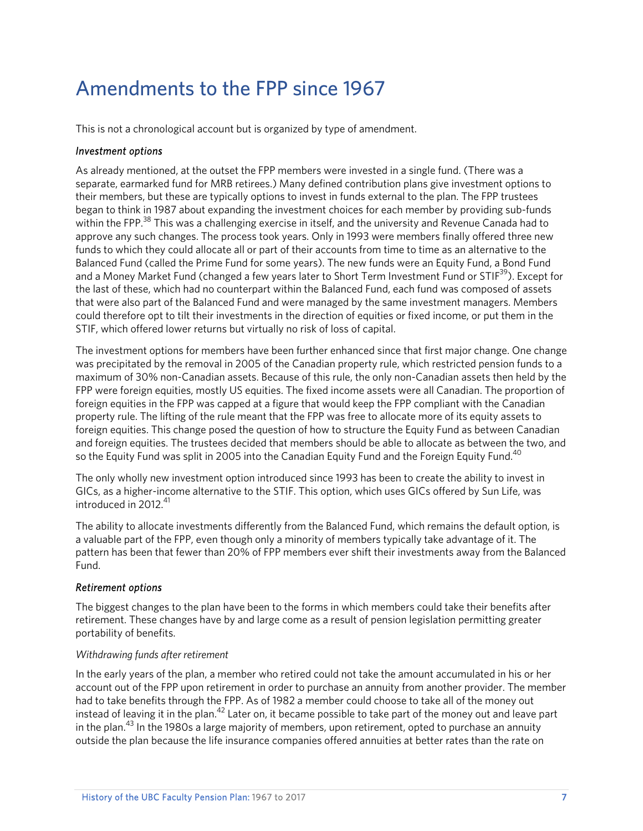## Amendments to the FPP since 1967

This is not a chronological account but is organized by type of amendment.

#### *Investment options*

As already mentioned, at the outset the FPP members were invested in a single fund. (There was a separate, earmarked fund for MRB retirees.) Many defined contribution plans give investment options to their members, but these are typically options to invest in funds external to the plan. The FPP trustees began to think in 1987 about expanding the investment choices for each member by providing sub-funds within the FPP.<sup>38</sup> This was a challenging exercise in itself, and the university and Revenue Canada had to approve any such changes. The process took years. Only in 1993 were members finally offered three new funds to which they could allocate all or part of their accounts from time to time as an alternative to the Balanced Fund (called the Prime Fund for some years). The new funds were an Equity Fund, a Bond Fund and a Money Market Fund (changed a few years later to Short Term Investment Fund or STIF<sup>39</sup>). Except for the last of these, which had no counterpart within the Balanced Fund, each fund was composed of assets that were also part of the Balanced Fund and were managed by the same investment managers. Members could therefore opt to tilt their investments in the direction of equities or fixed income, or put them in the STIF, which offered lower returns but virtually no risk of loss of capital.

The investment options for members have been further enhanced since that first major change. One change was precipitated by the removal in 2005 of the Canadian property rule, which restricted pension funds to a maximum of 30% non-Canadian assets. Because of this rule, the only non-Canadian assets then held by the FPP were foreign equities, mostly US equities. The fixed income assets were all Canadian. The proportion of foreign equities in the FPP was capped at a figure that would keep the FPP compliant with the Canadian property rule. The lifting of the rule meant that the FPP was free to allocate more of its equity assets to foreign equities. This change posed the question of how to structure the Equity Fund as between Canadian and foreign equities. The trustees decided that members should be able to allocate as between the two, and so the Equity Fund was split in 2005 into the Canadian Equity Fund and the Foreign Equity Fund.<sup>40</sup>

The only wholly new investment option introduced since 1993 has been to create the ability to invest in GICs, as a higher-income alternative to the STIF. This option, which uses GICs offered by Sun Life, was introduced in 2012. $41$ 

The ability to allocate investments differently from the Balanced Fund, which remains the default option, is a valuable part of the FPP, even though only a minority of members typically take advantage of it. The pattern has been that fewer than 20% of FPP members ever shift their investments away from the Balanced Fund.

#### *Retirement options*

The biggest changes to the plan have been to the forms in which members could take their benefits after retirement. These changes have by and large come as a result of pension legislation permitting greater portability of benefits.

#### *Withdrawing funds after retirement*

In the early years of the plan, a member who retired could not take the amount accumulated in his or her account out of the FPP upon retirement in order to purchase an annuity from another provider. The member had to take benefits through the FPP. As of 1982 a member could choose to take all of the money out instead of leaving it in the plan.<sup>42</sup> Later on, it became possible to take part of the money out and leave part in the plan.<sup>43</sup> In the 1980s a large majority of members, upon retirement, opted to purchase an annuity outside the plan because the life insurance companies offered annuities at better rates than the rate on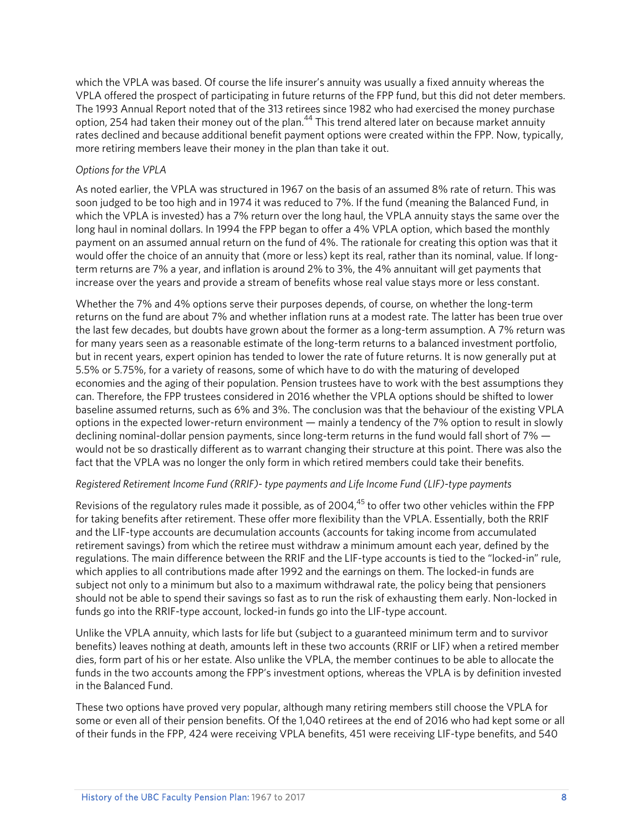which the VPLA was based. Of course the life insurer's annuity was usually a fixed annuity whereas the VPLA offered the prospect of participating in future returns of the FPP fund, but this did not deter members. The 1993 Annual Report noted that of the 313 retirees since 1982 who had exercised the money purchase option, 254 had taken their money out of the plan.44 This trend altered later on because market annuity rates declined and because additional benefit payment options were created within the FPP. Now, typically, more retiring members leave their money in the plan than take it out.

#### *Options for the VPLA*

As noted earlier, the VPLA was structured in 1967 on the basis of an assumed 8% rate of return. This was soon judged to be too high and in 1974 it was reduced to 7%. If the fund (meaning the Balanced Fund, in which the VPLA is invested) has a 7% return over the long haul, the VPLA annuity stays the same over the long haul in nominal dollars. In 1994 the FPP began to offer a 4% VPLA option, which based the monthly payment on an assumed annual return on the fund of 4%. The rationale for creating this option was that it would offer the choice of an annuity that (more or less) kept its real, rather than its nominal, value. If longterm returns are 7% a year, and inflation is around 2% to 3%, the 4% annuitant will get payments that increase over the years and provide a stream of benefits whose real value stays more or less constant.

Whether the 7% and 4% options serve their purposes depends, of course, on whether the long-term returns on the fund are about 7% and whether inflation runs at a modest rate. The latter has been true over the last few decades, but doubts have grown about the former as a long-term assumption. A 7% return was for many years seen as a reasonable estimate of the long-term returns to a balanced investment portfolio, but in recent years, expert opinion has tended to lower the rate of future returns. It is now generally put at 5.5% or 5.75%, for a variety of reasons, some of which have to do with the maturing of developed economies and the aging of their population. Pension trustees have to work with the best assumptions they can. Therefore, the FPP trustees considered in 2016 whether the VPLA options should be shifted to lower baseline assumed returns, such as 6% and 3%. The conclusion was that the behaviour of the existing VPLA options in the expected lower-return environment — mainly a tendency of the 7% option to result in slowly declining nominal-dollar pension payments, since long-term returns in the fund would fall short of 7% would not be so drastically different as to warrant changing their structure at this point. There was also the fact that the VPLA was no longer the only form in which retired members could take their benefits.

#### *Registered Retirement Income Fund (RRIF)- type payments and Life Income Fund (LIF)-type payments*

Revisions of the regulatory rules made it possible, as of 2004,  $45$  to offer two other vehicles within the FPP for taking benefits after retirement. These offer more flexibility than the VPLA. Essentially, both the RRIF and the LIF-type accounts are decumulation accounts (accounts for taking income from accumulated retirement savings) from which the retiree must withdraw a minimum amount each year, defined by the regulations. The main difference between the RRIF and the LIF-type accounts is tied to the "locked-in" rule, which applies to all contributions made after 1992 and the earnings on them. The locked-in funds are subject not only to a minimum but also to a maximum withdrawal rate, the policy being that pensioners should not be able to spend their savings so fast as to run the risk of exhausting them early. Non-locked in funds go into the RRIF-type account, locked-in funds go into the LIF-type account.

Unlike the VPLA annuity, which lasts for life but (subject to a guaranteed minimum term and to survivor benefits) leaves nothing at death, amounts left in these two accounts (RRIF or LIF) when a retired member dies, form part of his or her estate. Also unlike the VPLA, the member continues to be able to allocate the funds in the two accounts among the FPP's investment options, whereas the VPLA is by definition invested in the Balanced Fund.

These two options have proved very popular, although many retiring members still choose the VPLA for some or even all of their pension benefits. Of the 1,040 retirees at the end of 2016 who had kept some or all of their funds in the FPP, 424 were receiving VPLA benefits, 451 were receiving LIF-type benefits, and 540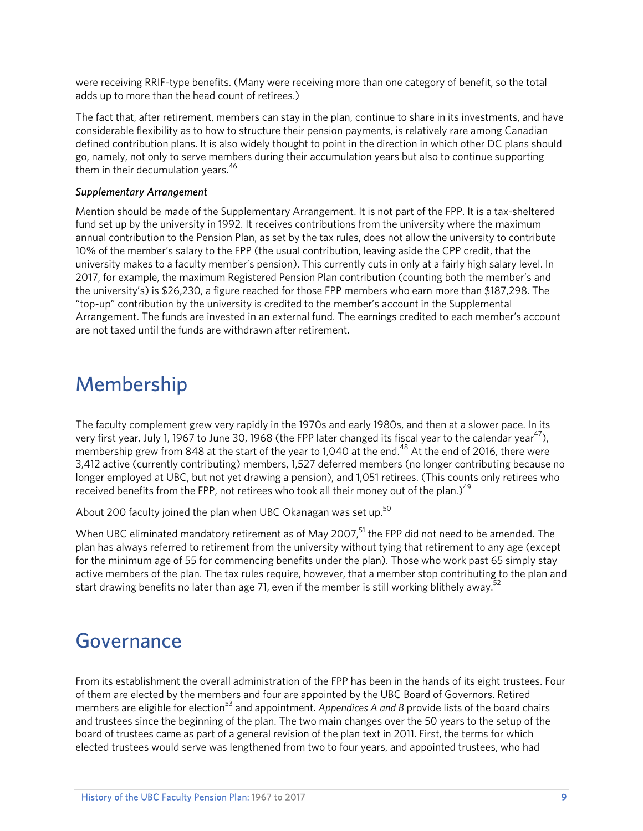were receiving RRIF-type benefits. (Many were receiving more than one category of benefit, so the total adds up to more than the head count of retirees.)

The fact that, after retirement, members can stay in the plan, continue to share in its investments, and have considerable flexibility as to how to structure their pension payments, is relatively rare among Canadian defined contribution plans. It is also widely thought to point in the direction in which other DC plans should go, namely, not only to serve members during their accumulation years but also to continue supporting them in their decumulation years.<sup>46</sup>

#### *Supplementary Arrangement*

Mention should be made of the Supplementary Arrangement. It is not part of the FPP. It is a tax-sheltered fund set up by the university in 1992. It receives contributions from the university where the maximum annual contribution to the Pension Plan, as set by the tax rules, does not allow the university to contribute 10% of the member's salary to the FPP (the usual contribution, leaving aside the CPP credit, that the university makes to a faculty member's pension). This currently cuts in only at a fairly high salary level. In 2017, for example, the maximum Registered Pension Plan contribution (counting both the member's and the university's) is \$26,230, a figure reached for those FPP members who earn more than \$187,298. The "top-up" contribution by the university is credited to the member's account in the Supplemental Arrangement. The funds are invested in an external fund. The earnings credited to each member's account are not taxed until the funds are withdrawn after retirement.

### Membership

The faculty complement grew very rapidly in the 1970s and early 1980s, and then at a slower pace. In its very first year, July 1, 1967 to June 30, 1968 (the FPP later changed its fiscal year to the calendar year<sup>47</sup>), membership grew from 848 at the start of the year to 1,040 at the end.<sup>48</sup> At the end of 2016, there were 3,412 active (currently contributing) members, 1,527 deferred members (no longer contributing because no longer employed at UBC, but not yet drawing a pension), and 1,051 retirees. (This counts only retirees who received benefits from the FPP, not retirees who took all their money out of the plan.)<sup>49</sup>

About 200 faculty joined the plan when UBC Okanagan was set up.<sup>50</sup>

When UBC eliminated mandatory retirement as of May 2007,<sup>51</sup> the FPP did not need to be amended. The plan has always referred to retirement from the university without tying that retirement to any age (except for the minimum age of 55 for commencing benefits under the plan). Those who work past 65 simply stay active members of the plan. The tax rules require, however, that a member stop contributing to the plan and start drawing benefits no later than age 71, even if the member is still working blithely away.<sup>5</sup>

### Governance

From its establishment the overall administration of the FPP has been in the hands of its eight trustees. Four of them are elected by the members and four are appointed by the UBC Board of Governors. Retired members are eligible for election<sup>53</sup> and appointment. *Appendices A and B* provide lists of the board chairs and trustees since the beginning of the plan. The two main changes over the 50 years to the setup of the board of trustees came as part of a general revision of the plan text in 2011. First, the terms for which elected trustees would serve was lengthened from two to four years, and appointed trustees, who had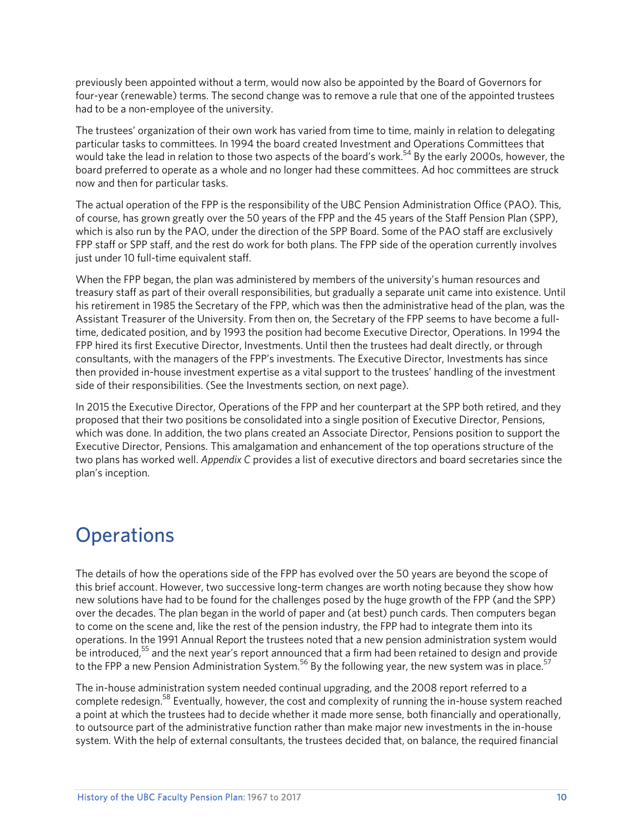previously been appointed without a term, would now also be appointed by the Board of Governors for four-year (renewable) terms. The second change was to remove a rule that one of the appointed trustees had to be a non-employee of the university.

The trustees' organization of their own work has varied from time to time, mainly in relation to delegating particular tasks to committees. In 1994 the board created Investment and Operations Committees that would take the lead in relation to those two aspects of the board's work.<sup>54</sup> By the early 2000s, however, the board preferred to operate as a whole and no longer had these committees. Ad hoc committees are struck now and then for particular tasks.

The actual operation of the FPP is the responsibility of the UBC Pension Administration Office (PAO). This, of course, has grown greatly over the 50 years of the FPP and the 45 years of the Staff Pension Plan (SPP), which is also run by the PAO, under the direction of the SPP Board. Some of the PAO staff are exclusively FPP staff or SPP staff, and the rest do work for both plans. The FPP side of the operation currently involves just under 10 full-time equivalent staff.

When the FPP began, the plan was administered by members of the university's human resources and treasury staff as part of their overall responsibilities, but gradually a separate unit came into existence. Until his retirement in 1985 the Secretary of the FPP, which was then the administrative head of the plan, was the Assistant Treasurer of the University. From then on, the Secretary of the FPP seems to have become a fulltime, dedicated position, and by 1993 the position had become Executive Director, Operations. In 1994 the FPP hired its first Executive Director, Investments. Until then the trustees had dealt directly, or through consultants, with the managers of the FPP's investments. The Executive Director, Investments has since then provided in-house investment expertise as a vital support to the trustees' handling of the investment side of their responsibilities. (See the Investments section, on next page).

In 2015 the Executive Director, Operations of the FPP and her counterpart at the SPP both retired, and they proposed that their two positions be consolidated into a single position of Executive Director, Pensions, which was done. In addition, the two plans created an Associate Director, Pensions position to support the Executive Director, Pensions. This amalgamation and enhancement of the top operations structure of the two plans has worked well. *Appendix C* provides a list of executive directors and board secretaries since the plan's inception.

### **Operations**

The details of how the operations side of the FPP has evolved over the 50 years are beyond the scope of this brief account. However, two successive long-term changes are worth noting because they show how new solutions have had to be found for the challenges posed by the huge growth of the FPP (and the SPP) over the decades. The plan began in the world of paper and (at best) punch cards. Then computers began to come on the scene and, like the rest of the pension industry, the FPP had to integrate them into its operations. In the 1991 Annual Report the trustees noted that a new pension administration system would be introduced,<sup>55</sup> and the next year's report announced that a firm had been retained to design and provide to the FPP a new Pension Administration System.<sup>56</sup> By the following year, the new system was in place.<sup>57</sup>

The in-house administration system needed continual upgrading, and the 2008 report referred to a complete redesign.<sup>58</sup> Eventually, however, the cost and complexity of running the in-house system reached a point at which the trustees had to decide whether it made more sense, both financially and operationally, to outsource part of the administrative function rather than make major new investments in the in-house system. With the help of external consultants, the trustees decided that, on balance, the required financial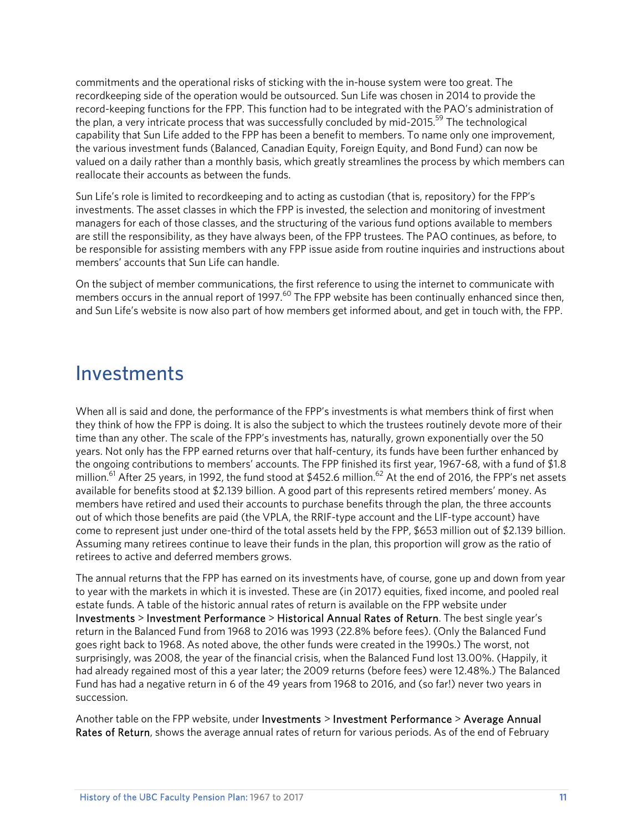commitments and the operational risks of sticking with the in-house system were too great. The recordkeeping side of the operation would be outsourced. Sun Life was chosen in 2014 to provide the record-keeping functions for the FPP. This function had to be integrated with the PAO's administration of the plan, a very intricate process that was successfully concluded by mid-2015.<sup>59</sup> The technological capability that Sun Life added to the FPP has been a benefit to members. To name only one improvement, the various investment funds (Balanced, Canadian Equity, Foreign Equity, and Bond Fund) can now be valued on a daily rather than a monthly basis, which greatly streamlines the process by which members can reallocate their accounts as between the funds.

Sun Life's role is limited to recordkeeping and to acting as custodian (that is, repository) for the FPP's investments. The asset classes in which the FPP is invested, the selection and monitoring of investment managers for each of those classes, and the structuring of the various fund options available to members are still the responsibility, as they have always been, of the FPP trustees. The PAO continues, as before, to be responsible for assisting members with any FPP issue aside from routine inquiries and instructions about members' accounts that Sun Life can handle.

On the subject of member communications, the first reference to using the internet to communicate with members occurs in the annual report of 1997.<sup>60</sup> The FPP website has been continually enhanced since then, and Sun Life's website is now also part of how members get informed about, and get in touch with, the FPP.

### Investments

When all is said and done, the performance of the FPP's investments is what members think of first when they think of how the FPP is doing. It is also the subject to which the trustees routinely devote more of their time than any other. The scale of the FPP's investments has, naturally, grown exponentially over the 50 years. Not only has the FPP earned returns over that half-century, its funds have been further enhanced by the ongoing contributions to members' accounts. The FPP finished its first year, 1967-68, with a fund of \$1.8 million.<sup>61</sup> After 25 years, in 1992, the fund stood at \$452.6 million.<sup>62</sup> At the end of 2016, the FPP's net assets available for benefits stood at \$2.139 billion. A good part of this represents retired members' money. As members have retired and used their accounts to purchase benefits through the plan, the three accounts out of which those benefits are paid (the VPLA, the RRIF-type account and the LIF-type account) have come to represent just under one-third of the total assets held by the FPP, \$653 million out of \$2.139 billion. Assuming many retirees continue to leave their funds in the plan, this proportion will grow as the ratio of retirees to active and deferred members grows.

The annual returns that the FPP has earned on its investments have, of course, gone up and down from year to year with the markets in which it is invested. These are (in 2017) equities, fixed income, and pooled real estate funds. A table of the historic annual rates of return is available on the FPP website under Investments > Investment Performance > Historical Annual Rates of Return. The best single year's return in the Balanced Fund from 1968 to 2016 was 1993 (22.8% before fees). (Only the Balanced Fund goes right back to 1968. As noted above, the other funds were created in the 1990s.) The worst, not surprisingly, was 2008, the year of the financial crisis, when the Balanced Fund lost 13.00%. (Happily, it had already regained most of this a year later; the 2009 returns (before fees) were 12.48%.) The Balanced Fund has had a negative return in 6 of the 49 years from 1968 to 2016, and (so far!) never two years in succession.

Another table on the FPP website, under Investments > Investment Performance > Average Annual Rates of Return, shows the average annual rates of return for various periods. As of the end of February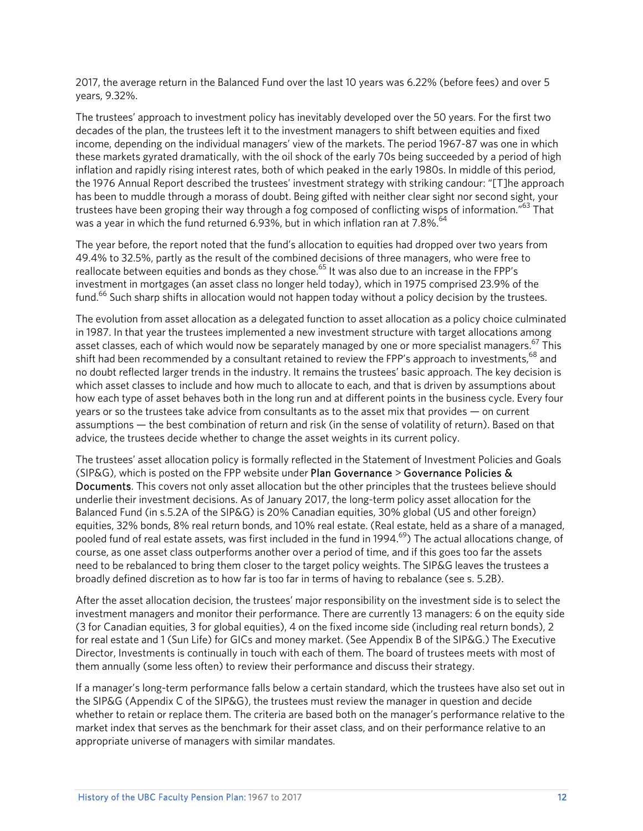2017, the average return in the Balanced Fund over the last 10 years was 6.22% (before fees) and over 5 years, 9.32%.

The trustees' approach to investment policy has inevitably developed over the 50 years. For the first two decades of the plan, the trustees left it to the investment managers to shift between equities and fixed income, depending on the individual managers' view of the markets. The period 1967-87 was one in which these markets gyrated dramatically, with the oil shock of the early 70s being succeeded by a period of high inflation and rapidly rising interest rates, both of which peaked in the early 1980s. In middle of this period, the 1976 Annual Report described the trustees' investment strategy with striking candour: "[T]he approach has been to muddle through a morass of doubt. Being gifted with neither clear sight nor second sight, your trustees have been groping their way through a fog composed of conflicting wisps of information."<sup>63</sup> That was a year in which the fund returned 6.93%, but in which inflation ran at  $7.8\%$ .<sup>64</sup>

The year before, the report noted that the fund's allocation to equities had dropped over two years from 49.4% to 32.5%, partly as the result of the combined decisions of three managers, who were free to reallocate between equities and bonds as they chose.<sup>65</sup> It was also due to an increase in the FPP's investment in mortgages (an asset class no longer held today), which in 1975 comprised 23.9% of the fund.<sup>66</sup> Such sharp shifts in allocation would not happen today without a policy decision by the trustees.

The evolution from asset allocation as a delegated function to asset allocation as a policy choice culminated in 1987. In that year the trustees implemented a new investment structure with target allocations among asset classes, each of which would now be separately managed by one or more specialist managers.<sup>67</sup> This shift had been recommended by a consultant retained to review the FPP's approach to investments,<sup>68</sup> and no doubt reflected larger trends in the industry. It remains the trustees' basic approach. The key decision is which asset classes to include and how much to allocate to each, and that is driven by assumptions about how each type of asset behaves both in the long run and at different points in the business cycle. Every four years or so the trustees take advice from consultants as to the asset mix that provides — on current assumptions — the best combination of return and risk (in the sense of volatility of return). Based on that advice, the trustees decide whether to change the asset weights in its current policy.

The trustees' asset allocation policy is formally reflected in the Statement of Investment Policies and Goals (SIP&G), which is posted on the FPP website under Plan Governance > Governance Policies & Documents. This covers not only asset allocation but the other principles that the trustees believe should underlie their investment decisions. As of January 2017, the long-term policy asset allocation for the Balanced Fund (in s.5.2A of the SIP&G) is 20% Canadian equities, 30% global (US and other foreign) equities, 32% bonds, 8% real return bonds, and 10% real estate. (Real estate, held as a share of a managed, pooled fund of real estate assets, was first included in the fund in 1994.<sup>69</sup>) The actual allocations change, of course, as one asset class outperforms another over a period of time, and if this goes too far the assets need to be rebalanced to bring them closer to the target policy weights. The SIP&G leaves the trustees a broadly defined discretion as to how far is too far in terms of having to rebalance (see s. 5.2B).

After the asset allocation decision, the trustees' major responsibility on the investment side is to select the investment managers and monitor their performance. There are currently 13 managers: 6 on the equity side (3 for Canadian equities, 3 for global equities), 4 on the fixed income side (including real return bonds), 2 for real estate and 1 (Sun Life) for GICs and money market. (See Appendix B of the SIP&G.) The Executive Director, Investments is continually in touch with each of them. The board of trustees meets with most of them annually (some less often) to review their performance and discuss their strategy.

If a manager's long-term performance falls below a certain standard, which the trustees have also set out in the SIP&G (Appendix C of the SIP&G), the trustees must review the manager in question and decide whether to retain or replace them. The criteria are based both on the manager's performance relative to the market index that serves as the benchmark for their asset class, and on their performance relative to an appropriate universe of managers with similar mandates.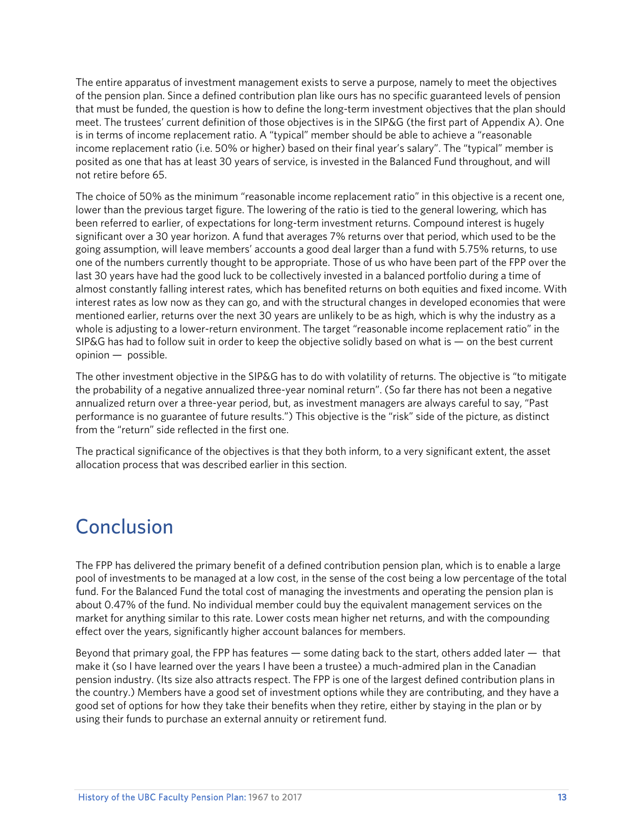The entire apparatus of investment management exists to serve a purpose, namely to meet the objectives of the pension plan. Since a defined contribution plan like ours has no specific guaranteed levels of pension that must be funded, the question is how to define the long-term investment objectives that the plan should meet. The trustees' current definition of those objectives is in the SIP&G (the first part of Appendix A). One is in terms of income replacement ratio. A "typical" member should be able to achieve a "reasonable income replacement ratio (i.e. 50% or higher) based on their final year's salary". The "typical" member is posited as one that has at least 30 years of service, is invested in the Balanced Fund throughout, and will not retire before 65.

The choice of 50% as the minimum "reasonable income replacement ratio" in this objective is a recent one, lower than the previous target figure. The lowering of the ratio is tied to the general lowering, which has been referred to earlier, of expectations for long-term investment returns. Compound interest is hugely significant over a 30 year horizon. A fund that averages 7% returns over that period, which used to be the going assumption, will leave members' accounts a good deal larger than a fund with 5.75% returns, to use one of the numbers currently thought to be appropriate. Those of us who have been part of the FPP over the last 30 years have had the good luck to be collectively invested in a balanced portfolio during a time of almost constantly falling interest rates, which has benefited returns on both equities and fixed income. With interest rates as low now as they can go, and with the structural changes in developed economies that were mentioned earlier, returns over the next 30 years are unlikely to be as high, which is why the industry as a whole is adjusting to a lower-return environment. The target "reasonable income replacement ratio" in the SIP&G has had to follow suit in order to keep the objective solidly based on what is — on the best current opinion — possible.

The other investment objective in the SIP&G has to do with volatility of returns. The objective is "to mitigate the probability of a negative annualized three-year nominal return". (So far there has not been a negative annualized return over a three-year period, but, as investment managers are always careful to say, "Past performance is no guarantee of future results.") This objective is the "risk" side of the picture, as distinct from the "return" side reflected in the first one.

The practical significance of the objectives is that they both inform, to a very significant extent, the asset allocation process that was described earlier in this section.

## Conclusion

The FPP has delivered the primary benefit of a defined contribution pension plan, which is to enable a large pool of investments to be managed at a low cost, in the sense of the cost being a low percentage of the total fund. For the Balanced Fund the total cost of managing the investments and operating the pension plan is about 0.47% of the fund. No individual member could buy the equivalent management services on the market for anything similar to this rate. Lower costs mean higher net returns, and with the compounding effect over the years, significantly higher account balances for members.

Beyond that primary goal, the FPP has features — some dating back to the start, others added later — that make it (so I have learned over the years I have been a trustee) a much-admired plan in the Canadian pension industry. (Its size also attracts respect. The FPP is one of the largest defined contribution plans in the country.) Members have a good set of investment options while they are contributing, and they have a good set of options for how they take their benefits when they retire, either by staying in the plan or by using their funds to purchase an external annuity or retirement fund.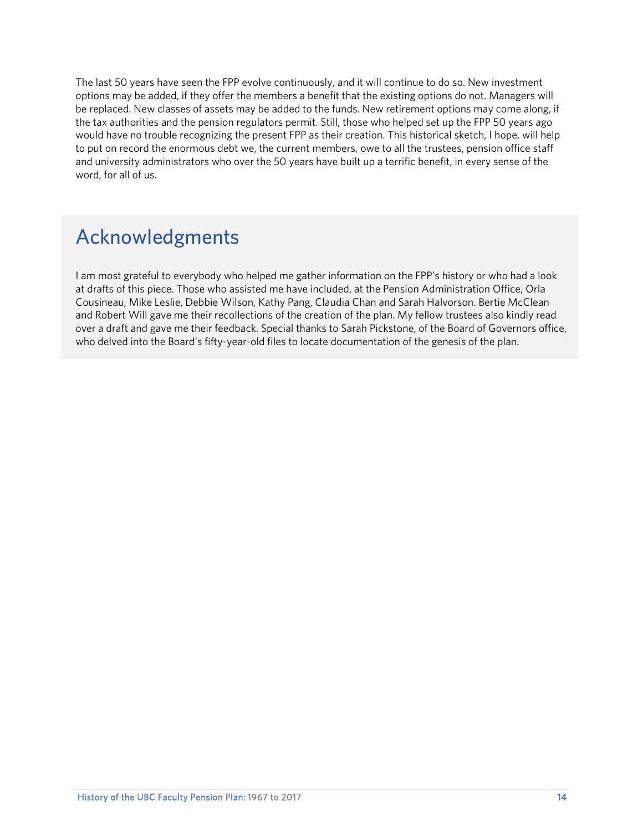The last 50 years have seen the FPP evolve continuously, and it will continue to do so. New investment options may be added, if they offer the members a benefit that the existing options do not. Managers will be replaced. New classes of assets may be added to the funds. New retirement options may come along, if the tax authorities and the pension regulators permit. Still, those who helped set up the FPP 50 years ago would have no trouble recognizing the present FPP as their creation. This historical sketch, I hope, will help to put on record the enormous debt we, the current members, owe to all the trustees, pension office staff and university administrators who over the 50 years have built up a terrific benefit, in every sense of the word, for all of us.

# Acknowledgments

I am most grateful to everybody who helped me gather information on the FPP's history or who had a look at drafts of this piece. Those who assisted me have included, at the Pension Administration Office, Orla Cousineau, Mike Leslie, Debbie Wilson, Kathy Pang, Claudia Chan and Sarah Halvorson. Bertie McClean and Robert Will gave me their recollections of the creation of the plan. My fellow trustees also kindly read over a draft and gave me their feedback. Special thanks to Sarah Pickstone, of the Board of Governors office, who delved into the Board's fifty-year-old files to locate documentation of the genesis of the plan.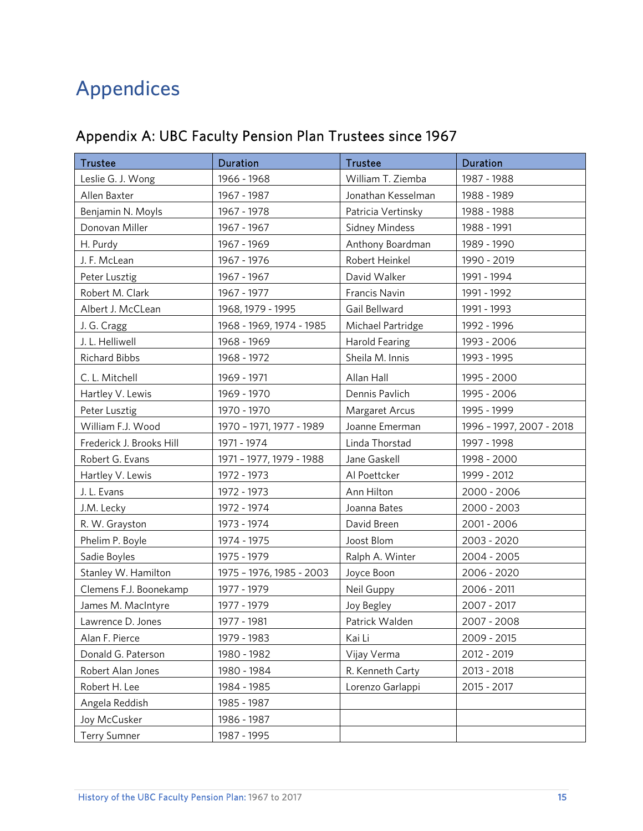# Appendices

### Appendix A: UBC Faculty Pension Plan Trustees since 1967

| <b>Trustee</b>           | <b>Duration</b>          | <b>Trustee</b>        | <b>Duration</b>          |
|--------------------------|--------------------------|-----------------------|--------------------------|
| Leslie G. J. Wong        | 1966 - 1968              | William T. Ziemba     | 1987 - 1988              |
| Allen Baxter             | 1967 - 1987              | Jonathan Kesselman    | 1988 - 1989              |
| Benjamin N. Moyls        | 1967 - 1978              | Patricia Vertinsky    | 1988 - 1988              |
| Donovan Miller           | 1967 - 1967              | Sidney Mindess        | 1988 - 1991              |
| H. Purdy                 | 1967 - 1969              | Anthony Boardman      | 1989 - 1990              |
| J. F. McLean             | 1967 - 1976              | Robert Heinkel        | 1990 - 2019              |
| Peter Lusztig            | 1967 - 1967              | David Walker          | 1991 - 1994              |
| Robert M. Clark          | 1967 - 1977              | Francis Navin         | 1991 - 1992              |
| Albert J. McCLean        | 1968, 1979 - 1995        | Gail Bellward         | 1991 - 1993              |
| J. G. Cragg              | 1968 - 1969, 1974 - 1985 | Michael Partridge     | 1992 - 1996              |
| J. L. Helliwell          | 1968 - 1969              | <b>Harold Fearing</b> | 1993 - 2006              |
| Richard Bibbs            | 1968 - 1972              | Sheila M. Innis       | 1993 - 1995              |
| C. L. Mitchell           | 1969 - 1971              | Allan Hall            | 1995 - 2000              |
| Hartley V. Lewis         | 1969 - 1970              | Dennis Pavlich        | 1995 - 2006              |
| Peter Lusztig            | 1970 - 1970              | Margaret Arcus        | 1995 - 1999              |
| William F.J. Wood        | 1970 - 1971, 1977 - 1989 | Joanne Emerman        | 1996 - 1997, 2007 - 2018 |
| Frederick J. Brooks Hill | 1971 - 1974              | Linda Thorstad        | 1997 - 1998              |
| Robert G. Evans          | 1971 - 1977, 1979 - 1988 | Jane Gaskell          | 1998 - 2000              |
| Hartley V. Lewis         | 1972 - 1973              | Al Poettcker          | 1999 - 2012              |
| J. L. Evans              | 1972 - 1973              | Ann Hilton            | 2000 - 2006              |
| J.M. Lecky               | 1972 - 1974              | Joanna Bates          | 2000 - 2003              |
| R. W. Grayston           | 1973 - 1974              | David Breen           | 2001 - 2006              |
| Phelim P. Boyle          | 1974 - 1975              | Joost Blom            | 2003 - 2020              |
| Sadie Boyles             | 1975 - 1979              | Ralph A. Winter       | 2004 - 2005              |
| Stanley W. Hamilton      | 1975 - 1976, 1985 - 2003 | Joyce Boon            | 2006 - 2020              |
| Clemens F.J. Boonekamp   | 1977 - 1979              | Neil Guppy            | 2006 - 2011              |
| James M. MacIntyre       | 1977 - 1979              | Joy Begley            | 2007 - 2017              |
| Lawrence D. Jones        | 1977 - 1981              | Patrick Walden        | 2007 - 2008              |
| Alan F. Pierce           | 1979 - 1983              | Kai Li                | 2009 - 2015              |
| Donald G. Paterson       | 1980 - 1982              | Vijay Verma           | 2012 - 2019              |
| Robert Alan Jones        | 1980 - 1984              | R. Kenneth Carty      | 2013 - 2018              |
| Robert H. Lee            | 1984 - 1985              | Lorenzo Garlappi      | 2015 - 2017              |
| Angela Reddish           | 1985 - 1987              |                       |                          |
| Joy McCusker             | 1986 - 1987              |                       |                          |
| <b>Terry Sumner</b>      | 1987 - 1995              |                       |                          |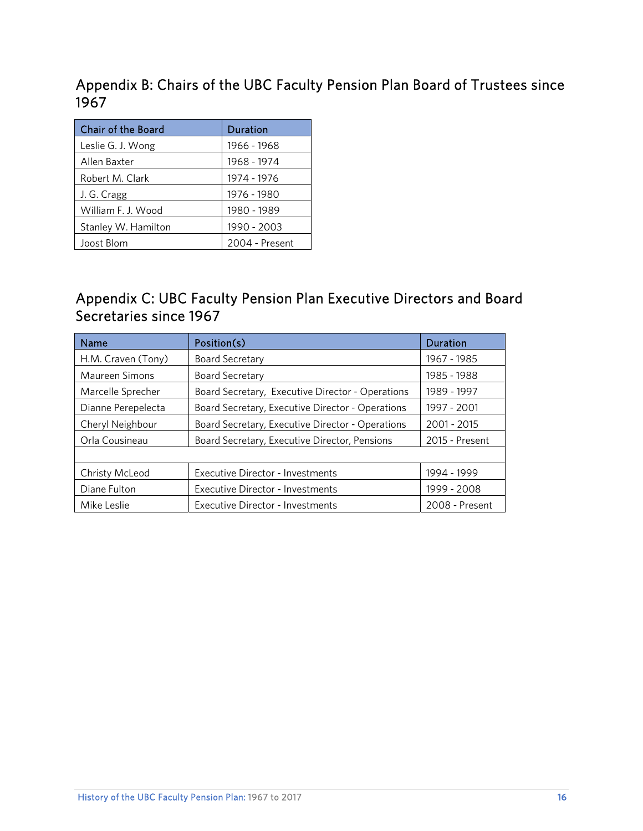Appendix B: Chairs of the UBC Faculty Pension Plan Board of Trustees since 1967

| <b>Chair of the Board</b> | Duration       |  |
|---------------------------|----------------|--|
| Leslie G. J. Wong         | 1966 - 1968    |  |
| Allen Baxter              | 1968 - 1974    |  |
| Robert M. Clark           | 1974 - 1976    |  |
| J. G. Cragg               | 1976 - 1980    |  |
| William F. J. Wood        | 1980 - 1989    |  |
| Stanley W. Hamilton       | 1990 - 2003    |  |
| Joost Blom                | 2004 - Present |  |

### Appendix C: UBC Faculty Pension Plan Executive Directors and Board Secretaries since 1967

| Name                  | Position(s)                                      | Duration       |
|-----------------------|--------------------------------------------------|----------------|
| H.M. Craven (Tony)    | <b>Board Secretary</b>                           | 1967 - 1985    |
| <b>Maureen Simons</b> | <b>Board Secretary</b>                           | 1985 - 1988    |
| Marcelle Sprecher     | Board Secretary, Executive Director - Operations | 1989 - 1997    |
| Dianne Perepelecta    | Board Secretary, Executive Director - Operations | 1997 - 2001    |
| Cheryl Neighbour      | Board Secretary, Executive Director - Operations | 2001 - 2015    |
| Orla Cousineau        | Board Secretary, Executive Director, Pensions    | 2015 - Present |
|                       |                                                  |                |
| Christy McLeod        | <b>Executive Director - Investments</b>          | 1994 - 1999    |
| Diane Fulton          | <b>Executive Director - Investments</b>          | 1999 - 2008    |
| Mike Leslie           | <b>Executive Director - Investments</b>          | 2008 - Present |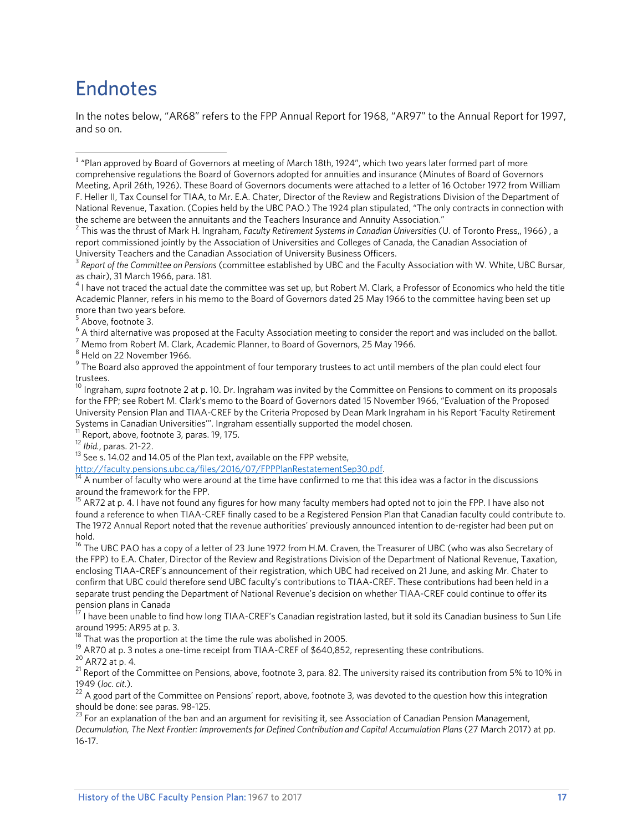## Endnotes

In the notes below, "AR68" refers to the FPP Annual Report for 1968, "AR97" to the Annual Report for 1997, and so on.

2 This was the thrust of Mark H. Ingraham, *Faculty Retirement Systems in Canadian Universities* (U. of Toronto Press,, 1966) , a report commissioned jointly by the Association of Universities and Colleges of Canada, the Canadian Association of

5 Above, footnote 3.

 $^6$  A third alternative was proposed at the Faculty Association meeting to consider the report and was included on the ballot.<br>7 Mama from Babart M. Clark, Asadomia Plannar, to Baard of Covernars, 25 May 1966.

 $^7$  Memo from Robert M. Clark, Academic Planner, to Board of Governors, 25 May 1966.

 $^8$  Held on 22 November 1966.

 $^9$  The Board also approved the appointment of four temporary trustees to act until members of the plan could elect four trustees.

<sup>11</sup> Report, above, footnote 3, paras. 19, 175.<br><sup>12</sup> Ibid., paras. 21-22.

<sup>13</sup> See s. 14.02 and 14.05 of the Plan text, available on the FPP website,<br>http://faculty.pensions.ubc.ca/files/2016/07/FPPPlanRestatementSep30.pdf.

 $\frac{14}{14}$  A number of faculty who were around at the time have confirmed to me that this idea was a factor in the discussions around the framework for the FPP.

<sup>15</sup> AR72 at p. 4. I have not found any figures for how many faculty members had opted not to join the FPP. I have also not found a reference to when TIAA-CREF finally cased to be a Registered Pension Plan that Canadian faculty could contribute to. The 1972 Annual Report noted that the revenue authorities' previously announced intention to de-register had been put on hold.

<sup>16</sup> The UBC PAO has a copy of a letter of 23 June 1972 from H.M. Craven, the Treasurer of UBC (who was also Secretary of the FPP) to E.A. Chater, Director of the Review and Registrations Division of the Department of National Revenue, Taxation, enclosing TIAA-CREF's announcement of their registration, which UBC had received on 21 June, and asking Mr. Chater to confirm that UBC could therefore send UBC faculty's contributions to TIAA-CREF. These contributions had been held in a separate trust pending the Department of National Revenue's decision on whether TIAA-CREF could continue to offer its pension plans in Canada

<sup>17</sup> I have been unable to find how long TIAA-CREF's Canadian registration lasted, but it sold its Canadian business to Sun Life around 1995: AR95 at p. 3.<br> $^{18}$  The t

That was the proportion at the time the rule was abolished in 2005.

19 AR70 at p. 3 notes a one-time receipt from TIAA-CREF of \$640,852, representing these contributions.<br>
<sup>20</sup> AR72 at p. 4.

<sup>21</sup> Report of the Committee on Pensions, above, footnote 3, para. 82. The university raised its contribution from 5% to 10% in

1949 (*loc. cit.*).<br><sup>22</sup> A good part of the Committee on Pensions' report, above, footnote 3, was devoted to the question how this integration should be done: see paras. 98-125.

<sup>23</sup> For an explanation of the ban and an argument for revisiting it, see Association of Canadian Pension Management, *Decumulation, The Next Frontier: Improvements for Defined Contribution and Capital Accumulation Plans* (27 March 2017) at pp. 16-17.

l <sup>1</sup> "Plan approved by Board of Governors at meeting of March 18th, 1924", which two years later formed part of more comprehensive regulations the Board of Governors adopted for annuities and insurance (Minutes of Board of Governors Meeting, April 26th, 1926). These Board of Governors documents were attached to a letter of 16 October 1972 from William F. Heller II, Tax Counsel for TIAA, to Mr. E.A. Chater, Director of the Review and Registrations Division of the Department of National Revenue, Taxation. (Copies held by the UBC PAO.) The 1924 plan stipulated, "The only contracts in connection with the scheme are between the annuitants and the Teachers Insurance and Annuity Association."

University Teachers and the Canadian Association of University Business Officers.<br><sup>3</sup> Report of the Committee on Pensions (committee established by UBC and the Faculty Association with W. White, UBC Bursar, as chair), 31 March 1966, para. 181.

 $^4$  I have not traced the actual date the committee was set up, but Robert M. Clark, a Professor of Economics who held the title Academic Planner, refers in his memo to the Board of Governors dated 25 May 1966 to the committee having been set up more than two years before.

<sup>10</sup> Ingraham, *supra* footnote 2 at p. 10. Dr. Ingraham was invited by the Committee on Pensions to comment on its proposals for the FPP; see Robert M. Clark's memo to the Board of Governors dated 15 November 1966, "Evaluation of the Proposed University Pension Plan and TIAA-CREF by the Criteria Proposed by Dean Mark Ingraham in his Report 'Faculty Retirement Systems in Canadian Universities'". Ingraham essentially supported the model chosen.